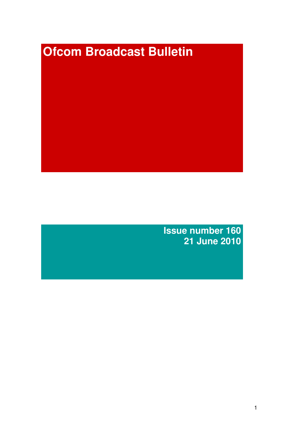# **Ofcom Broadcast Bulletin**

**Issue number 160 21 June 2010**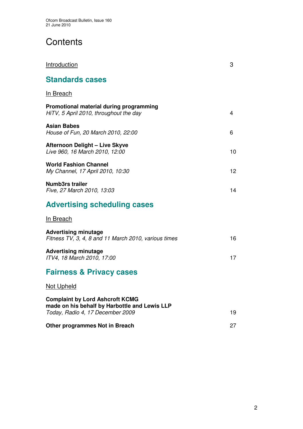# **Contents**

| <b>Introduction</b>                                                                                                         | 3  |
|-----------------------------------------------------------------------------------------------------------------------------|----|
| <b>Standards cases</b>                                                                                                      |    |
| <u>In Breach</u>                                                                                                            |    |
| Promotional material during programming<br>HiTV, 5 April 2010, throughout the day                                           | 4  |
| <b>Asian Babes</b><br>House of Fun, 20 March 2010, 22:00                                                                    | 6  |
| Afternoon Delight - Live Skyve<br>Live 960, 16 March 2010, 12:00                                                            | 10 |
| <b>World Fashion Channel</b><br>My Channel, 17 April 2010, 10:30                                                            | 12 |
| <b>Numb3rs trailer</b><br>Five, 27 March 2010, 13:03                                                                        | 14 |
| <b>Advertising scheduling cases</b>                                                                                         |    |
| <u>In Breach</u>                                                                                                            |    |
| <b>Advertising minutage</b><br>Fitness TV, 3, 4, 8 and 11 March 2010, various times                                         | 16 |
| <b>Advertising minutage</b><br>ITV4, 18 March 2010, 17:00                                                                   | 17 |
| <b>Fairness &amp; Privacy cases</b>                                                                                         |    |
| Not Upheld                                                                                                                  |    |
| <b>Complaint by Lord Ashcroft KCMG</b><br>made on his behalf by Harbottle and Lewis LLP<br>Today, Radio 4, 17 December 2009 | 19 |
| <b>Other programmes Not in Breach</b>                                                                                       | 27 |
|                                                                                                                             |    |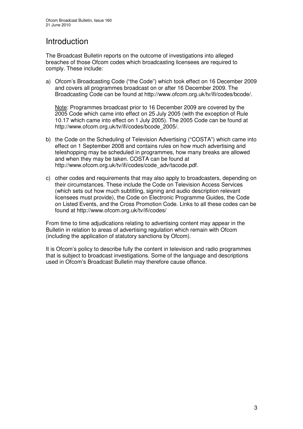## Introduction

The Broadcast Bulletin reports on the outcome of investigations into alleged breaches of those Ofcom codes which broadcasting licensees are required to comply. These include:

a) Ofcom's Broadcasting Code ("the Code") which took effect on 16 December 2009 and covers all programmes broadcast on or after 16 December 2009. The Broadcasting Code can be found at http://www.ofcom.org.uk/tv/ifi/codes/bcode/.

Note: Programmes broadcast prior to 16 December 2009 are covered by the 2005 Code which came into effect on 25 July 2005 (with the exception of Rule 10.17 which came into effect on 1 July 2005). The 2005 Code can be found at http://www.ofcom.org.uk/tv/ifi/codes/bcode\_2005/.

- b) the Code on the Scheduling of Television Advertising ("COSTA") which came into effect on 1 September 2008 and contains rules on how much advertising and teleshopping may be scheduled in programmes, how many breaks are allowed and when they may be taken. COSTA can be found at http://www.ofcom.org.uk/tv/ifi/codes/code\_adv/tacode.pdf.
- c) other codes and requirements that may also apply to broadcasters, depending on their circumstances. These include the Code on Television Access Services (which sets out how much subtitling, signing and audio description relevant licensees must provide), the Code on Electronic Programme Guides, the Code on Listed Events, and the Cross Promotion Code. Links to all these codes can be found at http://www.ofcom.org.uk/tv/ifi/codes/

From time to time adjudications relating to advertising content may appear in the Bulletin in relation to areas of advertising regulation which remain with Ofcom (including the application of statutory sanctions by Ofcom).

It is Ofcom's policy to describe fully the content in television and radio programmes that is subject to broadcast investigations. Some of the language and descriptions used in Ofcom's Broadcast Bulletin may therefore cause offence.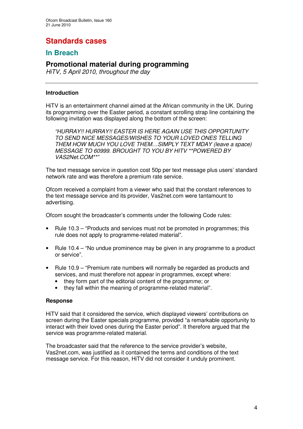# **Standards cases**

## **In Breach**

## **Promotional material during programming**

*HiTV, 5 April 2010, throughout the day*

#### **Introduction**

HiTV is an entertainment channel aimed at the African community in the UK. During its programming over the Easter period, a constant scrolling strap line containing the following invitation was displayed along the bottom of the screen:

*"HURRAY!! HURRAY!! EASTER IS HERE AGAIN USE THIS OPPORTUNITY TO SEND NICE MESSAGES/WISHES TO YOUR LOVED ONES TELLING THEM HOW MUCH YOU LOVE THEM…SIMPLY TEXT MDAY (leave a space) MESSAGE TO 60999. BROUGHT TO YOU BY HITV \*\*POWERED BY VAS2Net.COM\*\*"*

The text message service in question cost 50p per text message plus users' standard network rate and was therefore a premium rate service.

Ofcom received a complaint from a viewer who said that the constant references to the text message service and its provider, Vas2net.com were tantamount to advertising.

Ofcom sought the broadcaster's comments under the following Code rules:

- Rule 10.3 "Products and services must not be promoted in programmes: this rule does not apply to programme-related material".
- Rule 10.4 "No undue prominence may be given in any programme to a product or service".
- Rule 10.9 "Premium rate numbers will normally be regarded as products and services, and must therefore not appear in programmes, except where:
	- they form part of the editorial content of the programme; or
	- they fall within the meaning of programme-related material".

#### **Response**

HiTV said that it considered the service, which displayed viewers' contributions on screen during the Easter specials programme, provided "a remarkable opportunity to interact with their loved ones during the Easter period". It therefore argued that the service was programme-related material.

The broadcaster said that the reference to the service provider's website, Vas2net.com, was justified as it contained the terms and conditions of the text message service. For this reason, HiTV did not consider it unduly prominent.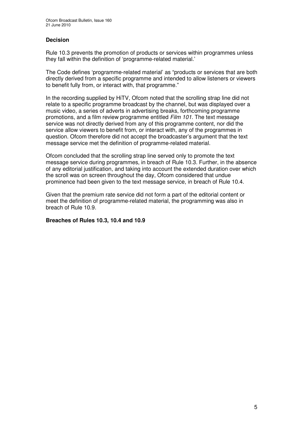#### **Decision**

Rule 10.3 prevents the promotion of products or services within programmes unless they fall within the definition of 'programme-related material.'

The Code defines 'programme-related material' as "products or services that are both directly derived from a specific programme and intended to allow listeners or viewers to benefit fully from, or interact with, that programme."

In the recording supplied by HiTV, Ofcom noted that the scrolling strap line did not relate to a specific programme broadcast by the channel, but was displayed over a music video, a series of adverts in advertising breaks, forthcoming programme promotions, and a film review programme entitled *Film 101.* The text message service was not directly derived from any of this programme content, nor did the service allow viewers to benefit from, or interact with, any of the programmes in question. Ofcom therefore did not accept the broadcaster's argument that the text message service met the definition of programme-related material.

Ofcom concluded that the scrolling strap line served only to promote the text message service during programmes, in breach of Rule 10.3. Further, in the absence of any editorial justification, and taking into account the extended duration over which the scroll was on screen throughout the day, Ofcom considered that undue prominence had been given to the text message service, in breach of Rule 10.4.

Given that the premium rate service did not form a part of the editorial content or meet the definition of programme-related material, the programming was also in breach of Rule 10.9.

#### **Breaches of Rules 10.3, 10.4 and 10.9**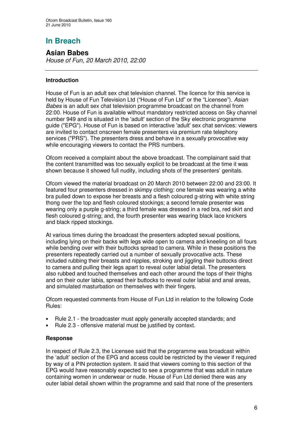# **In Breach**

## **Asian Babes**

*House of Fun, 20 March 2010, 22:00*

#### **Introduction**

House of Fun is an adult sex chat television channel. The licence for this service is held by House of Fun Television Ltd ("House of Fun Ltd" or the "Licensee"). *Asian Babes* is an adult sex chat television programme broadcast on the channel from 22:00. House of Fun is available without mandatory restricted access on Sky channel number 949 and is situated in the 'adult'section of the Sky electronic programme guide ("EPG"). House of Fun is based on interactive 'adult'sex chat services: viewers are invited to contact onscreen female presenters via premium rate telephony services ("PRS"). The presenters dress and behave in a sexually provocative way while encouraging viewers to contact the PRS numbers.

Ofcom received a complaint about the above broadcast. The complainant said that the content transmitted was too sexually explicit to be broadcast at the time it was shown because it showed full nudity, including shots of the presenters' genitals.

Ofcom viewed the material broadcast on 20 March 2010 between 22:00 and 23:00. It featured four presenters dressed in skimpy clothing: one female was wearing a white bra pulled down to expose her breasts and a flesh coloured g-string with white string thong over the top and flesh coloured stockings; a second female presenter was wearing only a purple g-string; a third female was dressed in a red bra, red skirt and flesh coloured g-string; and, the fourth presenter was wearing black lace knickers and black ripped stockings.

At various times during the broadcast the presenters adopted sexual positions, including lying on their backs with legs wide open to camera and kneeling on all fours while bending over with their buttocks spread to camera. While in these positions the presenters repeatedly carried out a number of sexually provocative acts. These included rubbing their breasts and nipples, stroking and jiggling their buttocks direct to camera and pulling their legs apart to reveal outer labial detail. The presenters also rubbed and touched themselves and each other around the tops of their thighs and on their outer labia, spread their buttocks to reveal outer labial and anal areas, and simulated masturbation on themselves with their fingers.

Ofcom requested comments from House of Fun Ltd in relation to the following Code Rules:

- Rule 2.1 the broadcaster must apply generally accepted standards; and
- Rule 2.3 offensive material must be justified by context.

#### **Response**

In respect of Rule 2.3, the Licensee said that the programme was broadcast within the 'adult' section of the EPG and access could be restricted by the viewer if required by way of a PIN protection system. It said that viewers coming to this section of the EPG would have reasonably expected to see a programme that was adult in nature containing women in underwear or nude. House of Fun Ltd denied there was any outer labial detail shown within the programme and said that none of the presenters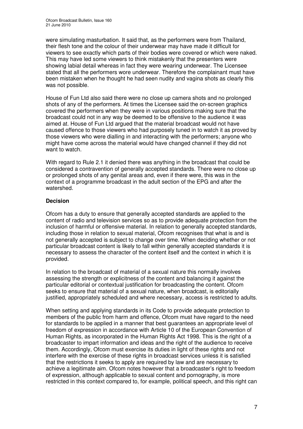were simulating masturbation. It said that, as the performers were from Thailand, their flesh tone and the colour of their underwear may have made it difficult for viewers to see exactly which parts of their bodies were covered or which were naked. This may have led some viewers to think mistakenly that the presenters were showing labial detail whereas in fact they were wearing underwear. The Licensee stated that all the performers wore underwear. Therefore the complainant must have been mistaken when he thought he had seen nudity and vagina shots as clearly this was not possible.

House of Fun Ltd also said there were no close up camera shots and no prolonged shots of any of the performers. At times the Licensee said the on-screen graphics covered the performers when they were in various positions making sure that the broadcast could not in any way be deemed to be offensive to the audience it was aimed at. House of Fun Ltd argued that the material broadcast would not have caused offence to those viewers who had purposely tuned in to watch it as proved by those viewers who were dialling in and interacting with the performers; anyone who might have come across the material would have changed channel if they did not want to watch.

With regard to Rule 2.1 it denied there was anything in the broadcast that could be considered a contravention of generally accepted standards. There were no close up or prolonged shots of any genital areas and, even if there were, this was in the context of a programme broadcast in the adult section of the EPG and after the watershed.

#### **Decision**

Ofcom has a duty to ensure that generally accepted standards are applied to the content of radio and television services so as to provide adequate protection from the inclusion of harmful or offensive material. In relation to generally accepted standards, including those in relation to sexual material, Ofcom recognises that what is and is not generally accepted is subject to change over time. When deciding whether or not particular broadcast content is likely to fall within generally accepted standards it is necessary to assess the character of the content itself and the context in which it is provided.

In relation to the broadcast of material of a sexual nature this normally involves assessing the strength or explicitness of the content and balancing it against the particular editorial or contextual justification for broadcasting the content. Ofcom seeks to ensure that material of a sexual nature, when broadcast, is editorially justified, appropriately scheduled and where necessary, access is restricted to adults.

When setting and applying standards in its Code to provide adequate protection to members of the public from harm and offence, Ofcom must have regard to the need for standards to be applied in a manner that best guarantees an appropriate level of freedom of expression in accordance with Article 10 of the European Convention of Human Rights, as incorporated in the Human Rights Act 1998. This is the right of a broadcaster to impart information and ideas and the right of the audience to receive them. Accordingly, Ofcom must exercise its duties in light of these rights and not interfere with the exercise of these rights in broadcast services unless it is satisfied that the restrictions it seeks to apply are required by law and are necessary to achieve a legitimate aim. Ofcom notes however that a broadcaster's right to freedom of expression, although applicable to sexual content and pornography, is more restricted in this context compared to, for example, political speech, and this right can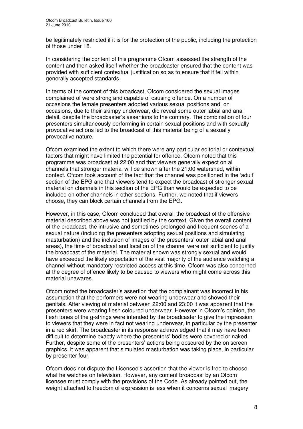be legitimately restricted if it is for the protection of the public, including the protection of those under 18.

In considering the content of this programme Ofcom assessed the strength of the content and then asked itself whether the broadcaster ensured that the content was provided with sufficient contextual justification so as to ensure that it fell within generally accepted standards.

In terms of the content of this broadcast, Ofcom considered the sexual images complained of were strong and capable of causing offence. On a number of occasions the female presenters adopted various sexual positions and, on occasions, due to their skimpy underwear, did reveal some outer labial and anal detail, despite the broadcaster's assertions to the contrary. The combination of four presenters simultaneously performing in certain sexual positions and with sexually provocative actions led to the broadcast of this material being of a sexually provocative nature.

Ofcom examined the extent to which there were any particular editorial or contextual factors that might have limited the potential for offence. Ofcom noted that this programme was broadcast at 22:00 and that viewers generally expect on all channels that stronger material will be shown after the 21:00 watershed, within context. Ofcom took account of the fact that the channel was positioned in the 'adult' section of the EPG and that viewers tend to expect the broadcast of stronger sexual material on channels in this section of the EPG than would be expected to be included on other channels in other sections. Further, we noted that if viewers choose, they can block certain channels from the EPG.

However, in this case, Ofcom concluded that overall the broadcast of the offensive material described above was not justified by the context. Given the overall content of the broadcast, the intrusive and sometimes prolonged and frequent scenes of a sexual nature (including the presenters adopting sexual positions and simulating masturbation) and the inclusion of images of the presenters' outer labial and anal areas), the time of broadcast and location of the channel were not sufficient to justify the broadcast of the material. The material shown was strongly sexual and would have exceeded the likely expectation of the vast majority of the audience watching a channel without mandatory restricted access at this time. Ofcom was also concerned at the degree of offence likely to be caused to viewers who might come across this material unawares.

Ofcom noted the broadcaster's assertion that the complainant was incorrect in his assumption that the performers were not wearing underwear and showed their genitals. After viewing of material between 22:00 and 23:00 it was apparent that the presenters were wearing flesh coloured underwear. However in Ofcom's opinion, the flesh tones of the g-strings were intended by the broadcaster to give the impression to viewers that they were in fact not wearing underwear, in particular by the presenter in a red skirt. The broadcaster in its response acknowledged that it may have been difficult to determine exactly where the presenters' bodies were covered or naked. Further, despite some of the presenters' actions being obscured by the on screen graphics, it was apparent that simulated masturbation was taking place, in particular by presenter four.

Ofcom does not dispute the Licensee's assertion that the viewer is free to choose what he watches on television. However, any content broadcast by an Ofcom licensee must comply with the provisions of the Code. As already pointed out, the weight attached to freedom of expression is less when it concerns sexual imagery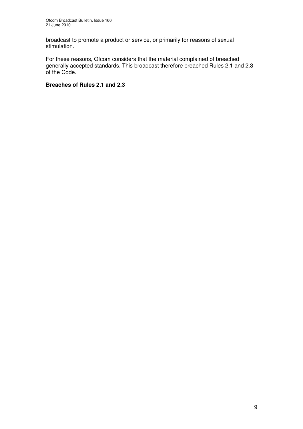broadcast to promote a product or service, or primarily for reasons of sexual stimulation.

For these reasons, Ofcom considers that the material complained of breached generally accepted standards. This broadcast therefore breached Rules 2.1 and 2.3 of the Code.

#### **Breaches of Rules 2.1 and 2.3**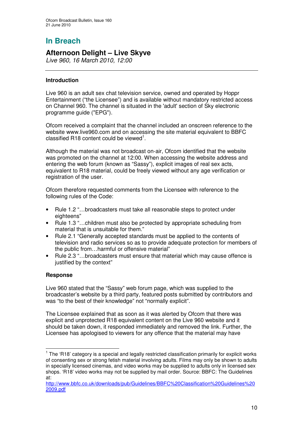# **In Breach**

## **Afternoon Delight – Live Skyve**

*Live 960, 16 March 2010, 12:00*

#### **Introduction**

Live 960 is an adult sex chat television service, owned and operated by Hoppr Entertainment ("the Licensee") and is available without mandatory restricted access on Channel 960. The channel is situated in the 'adult'section of Sky electronic programme guide ("EPG").

Ofcom received a complaint that the channel included an onscreen reference to the website www.live960.com and on accessing the site material equivalent to BBFC classified R18 content could be viewed<sup>1</sup>.

Although the material was not broadcast on-air, Ofcom identified that the website was promoted on the channel at 12:00. When accessing the website address and entering the web forum (known as "Sassy"), explicit images of real sex acts, equivalent to R18 material, could be freely viewed without any age verification or registration of the user.

Ofcom therefore requested comments from the Licensee with reference to the following rules of the Code:

- Rule 1.2 "…broadcasters must take all reasonable steps to protect under eighteens"
- Rule 1.3 "…children must also be protected by appropriate scheduling from material that is unsuitable for them."
- Rule 2.1 "Generally accepted standards must be applied to the contents of television and radio services so as to provide adequate protection for members of the public from…harmful or offensive material"
- Rule 2.3 "…broadcasters must ensure that material which may cause offence is justified by the context"

#### **Response**

Live 960 stated that the "Sassy" web forum page, which was supplied to the broadcaster's website by a third party, featured posts submitted by contributors and was "to the best of their knowledge" not "normally explicit".

The Licensee explained that as soon as it was alerted by Ofcom that there was explicit and unprotected R18 equivalent content on the Live 960 website and it should be taken down, it responded immediately and removed the link. Further, the Licensee has apologised to viewers for any offence that the material may have

 $1$  The 'R18' category is a special and legally restricted classification primarily for explicit works of consenting sex or strong fetish material involving adults. Films may only be shown to adults in specially licensed cinemas, and video works may be supplied to adults only in licensed sex shops. 'R18' video works may not be supplied by mail order. Source: BBFC: The Guidelines at:

http://www.bbfc.co.uk/downloads/pub/Guidelines/BBFC%20Classification%20Guidelines%20 2009.pdf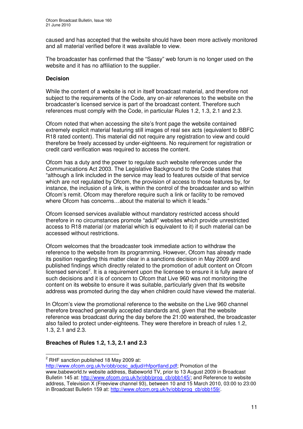caused and has accepted that the website should have been more actively monitored and all material verified before it was available to view.

The broadcaster has confirmed that the "Sassy" web forum is no longer used on the website and it has no affiliation to the supplier.

#### **Decision**

While the content of a website is not in itself broadcast material, and therefore not subject to the requirements of the Code, any on-air references to the website on the broadcaster's licensed service is part of the broadcast content. Therefore such references must comply with the Code, in particular Rules 1.2, 1.3, 2.1 and 2.3.

Ofcom noted that when accessing the site's front page the website contained extremely explicit material featuring still images of real sex acts (equivalent to BBFC R18 rated content). This material did not require any registration to view and could therefore be freely accessed by under-eighteens. No requirement for registration or credit card verification was required to access the content.

Ofcom has a duty and the power to regulate such website references under the Communications Act 2003. The Legislative Background to the Code states that "although a link included in the service may lead to features outside of that service which are not regulated by Ofcom, the provision of access to those features by, for instance, the inclusion of a link, is within the control of the broadcaster and so within Ofcom's remit. Ofcom may therefore require such a link or facility to be removed where Ofcom has concerns…about the material to which it leads."

Ofcom licensed services available without mandatory restricted access should therefore in no circumstances promote "adult" websites which provide unrestricted access to R18 material (or material which is equivalent to it) if such material can be accessed without restrictions.

Ofcom welcomes that the broadcaster took immediate action to withdraw the reference to the website from its programming. However, Ofcom has already made its position regarding this matter clear in a sanctions decision in May 2009 and published findings which directly related to the promotion of adult content on Ofcom licensed services<sup>2</sup>. It is a requirement upon the licensee to ensure it is fully aware of such decisions and it is of concern to Ofcom that Live 960 was not monitoring the content on its website to ensure it was suitable, particularly given that its website address was promoted during the day when children could have viewed the material.

In Ofcom's view the promotional reference to the website on the Live 960 channel therefore breached generally accepted standards and, given that the website reference was broadcast during the day before the 21:00 watershed, the broadcaster also failed to protect under-eighteens. They were therefore in breach of rules 1.2, 1.3, 2.1 and 2.3.

#### **Breaches of Rules 1.2, 1.3, 2.1 and 2.3**

<sup>2</sup> RHF sanction published 18 May 2009 at:

http://www.ofcom.org.uk/ty/obb/ocsc\_adjud/rhfportland.pdf; Promotion of the www.babeworld.tv website address, Babeworld TV, prior to 13 August 2009 in Broadcast Bulletin 145 at: http://www.ofcom.org.uk/tv/obb/prog\_cb/obb145/; and Reference to website address, Television X (Freeview channel 93), between 10 and 15 March 2010, 03:00 to 23:00 in Broadcast Bulletin 159 at: http://www.ofcom.org.uk/tv/obb/prog\_cb/obb159/.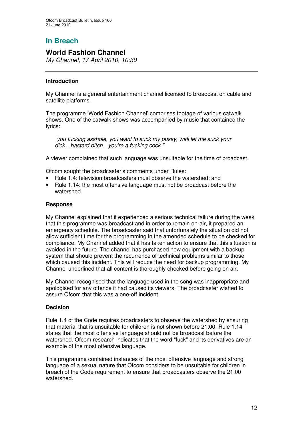## **In Breach**

## **World Fashion Channel**

*My Channel, 17 April 2010, 10:30*

#### **Introduction**

My Channel is a general entertainment channel licensed to broadcast on cable and satellite platforms.

The programme 'World Fashion Channel' comprises footage of various catwalk shows. One of the catwalk shows was accompanied by music that contained the lyrics:

*"you fucking asshole, you want to suck my pussy, well let me suck your dick…bastard bitch…you're a fucking cock."*

A viewer complained that such language was unsuitable for the time of broadcast.

Ofcom sought the broadcaster's comments under Rules:

- Rule 1.4: television broadcasters must observe the watershed; and
- Rule 1.14: the most offensive language must not be broadcast before the watershed

#### **Response**

My Channel explained that it experienced a serious technical failure during the week that this programme was broadcast and in order to remain on-air, it prepared an emergency schedule. The broadcaster said that unfortunately the situation did not allow sufficient time for the programming in the amended schedule to be checked for compliance. My Channel added that it has taken action to ensure that this situation is avoided in the future. The channel has purchased new equipment with a backup system that should prevent the recurrence of technical problems similar to those which caused this incident. This will reduce the need for backup programming. My Channel underlined that all content is thoroughly checked before going on air,

My Channel recognised that the language used in the song was inappropriate and apologised for any offence it had caused its viewers. The broadcaster wished to assure Ofcom that this was a one-off incident.

#### **Decision**

Rule 1.4 of the Code requires broadcasters to observe the watershed by ensuring that material that is unsuitable for children is not shown before 21:00. Rule 1.14 states that the most offensive language should not be broadcast before the watershed. Ofcom research indicates that the word "fuck" and its derivatives are an example of the most offensive language.

This programme contained instances of the most offensive language and strong language of a sexual nature that Ofcom considers to be unsuitable for children in breach of the Code requirement to ensure that broadcasters observe the 21:00 watershed.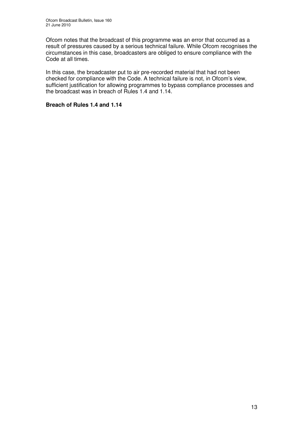Ofcom notes that the broadcast of this programme was an error that occurred as a result of pressures caused by a serious technical failure. While Ofcom recognises the circumstances in this case, broadcasters are obliged to ensure compliance with the Code at all times.

In this case, the broadcaster put to air pre-recorded material that had not been checked for compliance with the Code. A technical failure is not, in Ofcom's view, sufficient justification for allowing programmes to bypass compliance processes and the broadcast was in breach of Rules 1.4 and 1.14.

#### **Breach of Rules 1.4 and 1.14**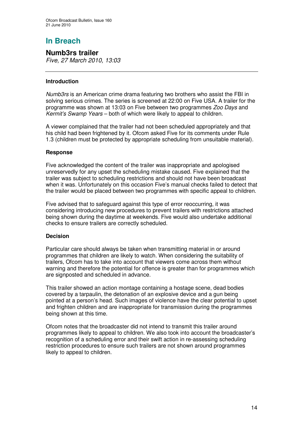# **In Breach**

**Numb3rs trailer** *Five, 27 March 2010, 13:03*

#### **Introduction**

*Numb3rs* is an American crime drama featuring two brothers who assist the FBI in solving serious crimes. The series is screened at 22:00 on Five USA. A trailer for the programme was shown at 13:03 on Five between two programmes *Zoo Days* and *Kermit's Swamp Years* – both of which were likely to appeal to children.

A viewer complained that the trailer had not been scheduled appropriately and that his child had been frightened by it. Ofcom asked Five for its comments under Rule 1.3 (children must be protected by appropriate scheduling from unsuitable material).

#### **Response**

Five acknowledged the content of the trailer was inappropriate and apologised unreservedly for any upset the scheduling mistake caused. Five explained that the trailer was subject to scheduling restrictions and should not have been broadcast when it was. Unfortunately on this occasion Five's manual checks failed to detect that the trailer would be placed between two programmes with specific appeal to children.

Five advised that to safeguard against this type of error reoccurring, it was considering introducing new procedures to prevent trailers with restrictions attached being shown during the daytime at weekends. Five would also undertake additional checks to ensure trailers are correctly scheduled.

#### **Decision**

Particular care should always be taken when transmitting material in or around programmes that children are likely to watch. When considering the suitability of trailers, Ofcom has to take into account that viewers come across them without warning and therefore the potential for offence is greater than for programmes which are signposted and scheduled in advance.

This trailer showed an action montage containing a hostage scene, dead bodies covered by a tarpaulin, the detonation of an explosive device and a gun being pointed at a person's head. Such images of violence have the clear potential to upset and frighten children and are inappropriate for transmission during the programmes being shown at this time.

Ofcom notes that the broadcaster did not intend to transmit this trailer around programmes likely to appeal to children. We also took into account the broadcaster's recognition of a scheduling error and their swift action in re-assessing scheduling restriction procedures to ensure such trailers are not shown around programmes likely to appeal to children.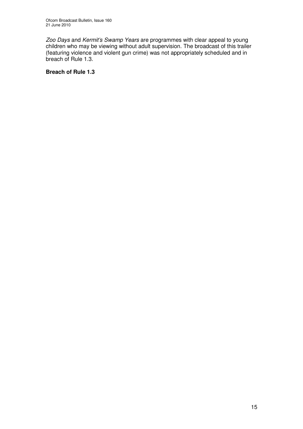*Zoo Days* and *Kermit's Swamp Years* are programmes with clear appeal to young children who may be viewing without adult supervision. The broadcast of this trailer (featuring violence and violent gun crime) was not appropriately scheduled and in breach of Rule 1.3.

#### **Breach of Rule 1.3**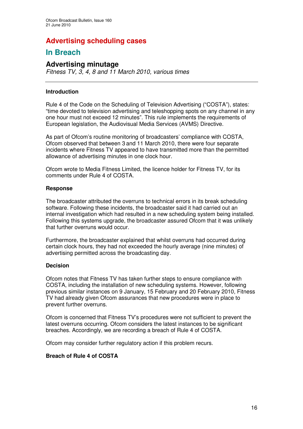## **Advertising scheduling cases**

## **In Breach**

## **Advertising minutage**

*Fitness TV, 3, 4, 8 and 11 March 2010, various times*

#### **Introduction**

Rule 4 of the Code on the Scheduling of Television Advertising ("COSTA"), states: "time devoted to television advertising and teleshopping spots on any channel in any one hour must not exceed 12 minutes". This rule implements the requirements of European legislation, the Audiovisual Media Services (AVMS) Directive.

As part of Ofcom's routine monitoring of broadcasters' compliance with COSTA, Ofcom observed that between 3 and 11 March 2010, there were four separate incidents where Fitness TV appeared to have transmitted more than the permitted allowance of advertising minutes in one clock hour.

Ofcom wrote to Media Fitness Limited, the licence holder for Fitness TV, for its comments under Rule 4 of COSTA.

#### **Response**

The broadcaster attributed the overruns to technical errors in its break scheduling software. Following these incidents, the broadcaster said it had carried out an internal investigation which had resulted in a new scheduling system being installed. Following this systems upgrade, the broadcaster assured Ofcom that it was unlikely that further overruns would occur.

Furthermore, the broadcaster explained that whilst overruns had occurred during certain clock hours, they had not exceeded the hourly average (nine minutes) of advertising permitted across the broadcasting day.

#### **Decision**

Ofcom notes that Fitness TV has taken further steps to ensure compliance with COSTA, including the installation of new scheduling systems. However, following previous similar instances on 9 January, 15 February and 20 February 2010, Fitness TV had already given Ofcom assurances that new procedures were in place to prevent further overruns.

Ofcom is concerned that Fitness TV's procedures were not sufficient to prevent the latest overruns occurring. Ofcom considers the latest instances to be significant breaches. Accordingly, we are recording a breach of Rule 4 of COSTA.

Ofcom may consider further regulatory action if this problem recurs.

#### **Breach of Rule 4 of COSTA**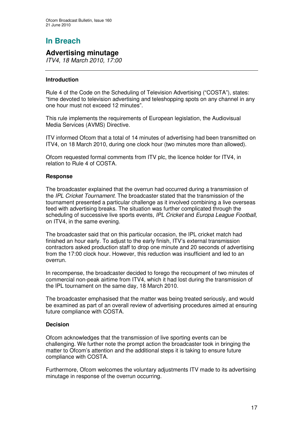# **In Breach**

## **Advertising minutage**

*ITV4, 18 March 2010, 17:00*

#### **Introduction**

Rule 4 of the Code on the Scheduling of Television Advertising ("COSTA"), states: "time devoted to television advertising and teleshopping spots on any channel in any one hour must not exceed 12 minutes".

This rule implements the requirements of European legislation, the Audiovisual Media Services (AVMS) Directive.

ITV informed Ofcom that a total of 14 minutes of advertising had been transmitted on ITV4, on 18 March 2010, during one clock hour (two minutes more than allowed).

Ofcom requested formal comments from ITV plc, the licence holder for ITV4, in relation to Rule 4 of COSTA.

#### **Response**

The broadcaster explained that the overrun had occurred during a transmission of the *IPL Cricket Tournament*. The broadcaster stated that the transmission of the tournament presented a particular challenge as it involved combining a live overseas feed with advertising breaks. The situation was further complicated through the scheduling of successive live sports events*, IPL Cricket* and *Europa League Football,* on ITV4, in the same evening.

The broadcaster said that on this particular occasion, the IPL cricket match had finished an hour early. To adjust to the early finish, ITV's external transmission contractors asked production staff to drop one minute and 20 seconds of advertising from the 17:00 clock hour. However, this reduction was insufficient and led to an overrun.

In recompense, the broadcaster decided to forego the recoupment of two minutes of commercial non-peak airtime from ITV4, which it had lost during the transmission of the IPL tournament on the same day, 18 March 2010.

The broadcaster emphasised that the matter was being treated seriously, and would be examined as part of an overall review of advertising procedures aimed at ensuring future compliance with COSTA.

#### **Decision**

Ofcom acknowledges that the transmission of live sporting events can be challenging. We further note the prompt action the broadcaster took in bringing the matter to Ofcom's attention and the additional steps it is taking to ensure future compliance with COSTA.

Furthermore, Ofcom welcomes the voluntary adjustments ITV made to its advertising minutage in response of the overrun occurring.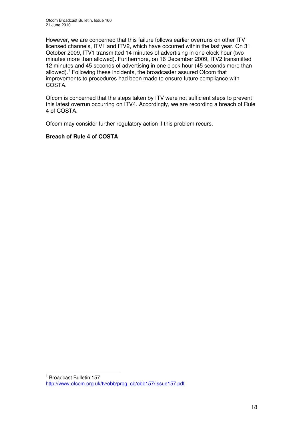However, we are concerned that this failure follows earlier overruns on other ITV licensed channels, ITV1 and ITV2, which have occurred within the last year. On 31 October 2009, ITV1 transmitted 14 minutes of advertising in one clock hour (two minutes more than allowed). Furthermore, on 16 December 2009, ITV2 transmitted 12 minutes and 45 seconds of advertising in one clock hour (45 seconds more than allowed).<sup>1</sup> Following these incidents, the broadcaster assured Ofcom that improvements to procedures had been made to ensure future compliance with COSTA.

Ofcom is concerned that the steps taken by ITV were not sufficient steps to prevent this latest overrun occurring on ITV4. Accordingly, we are recording a breach of Rule 4 of COSTA.

Ofcom may consider further regulatory action if this problem recurs.

#### **Breach of Rule 4 of COSTA**

<sup>1</sup> Broadcast Bulletin 157 http://www.ofcom.org.uk/tv/obb/prog\_cb/obb157/Issue157.pdf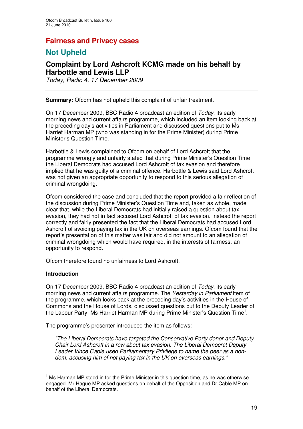## **Fairness and Privacy cases**

## **Not Upheld**

## **Complaint by Lord Ashcroft KCMG made on his behalf by Harbottle and Lewis LLP**

*Today, Radio 4, 17 December 2009*

**Summary:** Ofcom has not upheld this complaint of unfair treatment.

On 17 December 2009, BBC Radio 4 broadcast an edition of *Today*, its early morning news and current affairs programme, which included an item looking back at the preceding day's activities in Parliament and discussed questions put to Ms Harriet Harman MP (who was standing in for the Prime Minister) during Prime Minister's Question Time.

Harbottle & Lewis complained to Ofcom on behalf of Lord Ashcroft that the programme wrongly and unfairly stated that during Prime Minister's Question Time the Liberal Democrats had accused Lord Ashcroft of tax evasion and therefore implied that he was guilty of a criminal offence. Harbottle & Lewis said Lord Ashcroft was not given an appropriate opportunity to respond to this serious allegation of criminal wrongdoing.

Ofcom considered the case and concluded that the report provided a fair reflection of the discussion during Prime Minister's Question Time and, taken as whole, made clear that, while the Liberal Democrats had initially raised a question about tax evasion, they had not in fact accused Lord Ashcroft of tax evasion. Instead the report correctly and fairly presented the fact that the Liberal Democrats had accused Lord Ashcroft of avoiding paying tax in the UK on overseas earnings. Ofcom found that the report's presentation of this matter was fair and did not amount to an allegation of criminal wrongdoing which would have required, in the interests of fairness, an opportunity to respond.

Ofcom therefore found no unfairness to Lord Ashcroft.

#### **Introduction**

On 17 December 2009, BBC Radio 4 broadcast an edition of *Today*, its early morning news and current affairs programme. The *Yesterday in Parliament* item of the programme, which looks back at the preceding day's activities in the House of Commons and the House of Lords, discussed questions put to the Deputy Leader of the Labour Party, Ms Harriet Harman MP during Prime Minister's Question Time<sup>1</sup>.

The programme's presenter introduced the item as follows:

*"The Liberal Democrats have targeted the Conservative Party donor and Deputy Chair Lord Ashcroft in a row about tax evasion. The Liberal Democrat Deputy Leader Vince Cable used Parliamentary Privilege to name the peer as a nondom, accusing him of not paying tax in the UK on overseas earnings."*

 $<sup>1</sup>$  Ms Harman MP stood in for the Prime Minister in this question time, as he was otherwise</sup> engaged. Mr Hague MP asked questions on behalf of the Opposition and Dr Cable MP on behalf of the Liberal Democrats.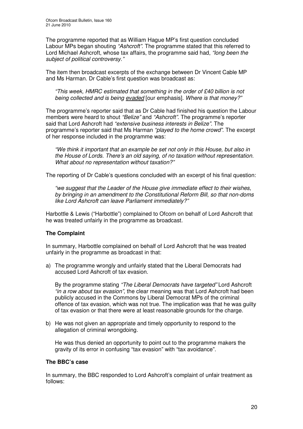The programme reported that as William Hague MP's first question concluded Labour MPs began shouting *"Ashcroft"*. The programme stated that this referred to Lord Michael Ashcroft, whose tax affairs, the programme said had, *"long been the subject of political controversy."*

The item then broadcast excerpts of the exchange between Dr Vincent Cable MP and Ms Harman. Dr Cable's first question was broadcast as:

*"This week, HMRC estimated that something in the order of £40 billion is not being collected and is being evaded* [our emphasis]. *Where is that money?"*

The programme's reporter said that as Dr Cable had finished his question the Labour members were heard to shout *"Belize"* and *"Ashcroft"*. The programme's reporter said that Lord Ashcroft had *"extensive business interests in Belize".* The programme's reporter said that Ms Harman *"played to the home crowd".* The excerpt of her response included in the programme was:

*"We think it important that an example be set not only in this House, but also in the House of Lords. There's an old saying, of no taxation without representation. What about no representation without taxation?"*

The reporting of Dr Cable's questions concluded with an excerpt of his final question:

*"we suggest that the Leader of the House give immediate effect to their wishes, by bringing in an amendment to the Constitutional Reform Bill, so that non-doms like Lord Ashcroft can leave Parliament immediately?"*

Harbottle & Lewis ("Harbottle") complained to Ofcom on behalf of Lord Ashcroft that he was treated unfairly in the programme as broadcast.

#### **The Complaint**

In summary, Harbottle complained on behalf of Lord Ashcroft that he was treated unfairly in the programme as broadcast in that:

a) The programme wrongly and unfairly stated that the Liberal Democrats had accused Lord Ashcroft of tax evasion.

By the programme stating *"The Liberal Democrats have targeted"* Lord Ashcroft *"in a row about tax evasion"*, the clear meaning was that Lord Ashcroft had been publicly accused in the Commons by Liberal Democrat MPs of the criminal offence of tax evasion, which was not true. The implication was that he was guilty of tax evasion or that there were at least reasonable grounds for the charge.

b) He was not given an appropriate and timely opportunity to respond to the allegation of criminal wrongdoing.

He was thus denied an opportunity to point out to the programme makers the gravity of its error in confusing "tax evasion" with "tax avoidance".

#### **The BBC's case**

In summary, the BBC responded to Lord Ashcroft's complaint of unfair treatment as follows: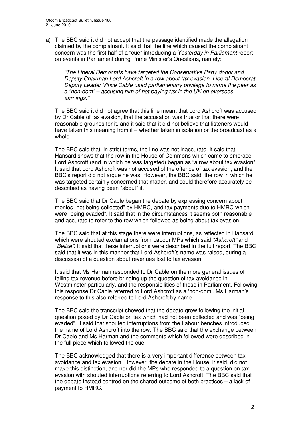a) The BBC said it did not accept that the passage identified made the allegation claimed by the complainant. It said that the line which caused the complainant concern was the first half of a "cue" introducing a *Yesterday in Parliament* report on events in Parliament during Prime Minister's Questions, namely:

*"The Liberal Democrats have targeted the Conservative Party donor and Deputy Chairman Lord Ashcroft in a row about tax evasion. Liberal Democrat Deputy Leader Vince Cable used parliamentary privilege to name the peer as a "non-dom" – accusing him of not paying tax in the UK on overseas earnings."*

The BBC said it did not agree that this line meant that Lord Ashcroft was accused by Dr Cable of tax evasion, that the accusation was true or that there were reasonable grounds for it, and it said that it did not believe that listeners would have taken this meaning from it – whether taken in isolation or the broadcast as a whole.

The BBC said that, in strict terms, the line was not inaccurate. It said that Hansard shows that the row in the House of Commons which came to embrace Lord Ashcroft (and in which he was targeted) began as "a row about tax evasion". It said that Lord Ashcroft was not accused of the offence of tax evasion, and the BBC's report did not argue he was. However, the BBC said, the row in which he was targeted certainly concerned that matter, and could therefore accurately be described as having been "about" it.

The BBC said that Dr Cable began the debate by expressing concern about monies "not being collected" by HMRC, and tax payments due to HMRC which were "being evaded". It said that in the circumstances it seems both reasonable and accurate to refer to the row which followed as being about tax evasion.

The BBC said that at this stage there were interruptions, as reflected in Hansard, which were shouted exclamations from Labour MPs which said *"Ashcroft"* and *"Belize".* It said that these interruptions were described in the full report. The BBC said that it was in this manner that Lord Ashcroft's name was raised, during a discussion of a question about revenues lost to tax evasion.

It said that Ms Harman responded to Dr Cable on the more general issues of falling tax revenue before bringing up the question of tax avoidance in Westminster particularly, and the responsibilities of those in Parliament. Following this response Dr Cable referred to Lord Ashcroft as a 'non-dom'. Ms Harman's response to this also referred to Lord Ashcroft by name.

The BBC said the transcript showed that the debate grew following the initial question posed by Dr Cable on tax which had not been collected and was "being evaded". It said that shouted interruptions from the Labour benches introduced the name of Lord Ashcroft into the row. The BBC said that the exchange between Dr Cable and Ms Harman and the comments which followed were described in the full piece which followed the cue.

The BBC acknowledged that there is a very important difference between tax avoidance and tax evasion. However, the debate in the House, it said, did not make this distinction, and nor did the MPs who responded to a question on tax evasion with shouted interruptions referring to Lord Ashcroft. The BBC said that the debate instead centred on the shared outcome of both practices – a lack of payment to HMRC.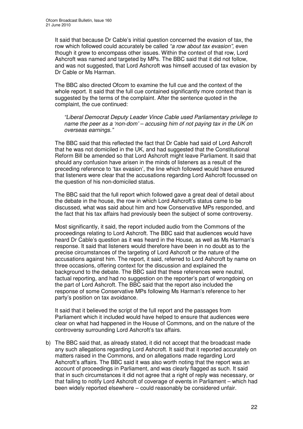It said that because Dr Cable's initial question concerned the evasion of tax, the row which followed could accurately be called *"a row about tax evasion",* even though it grew to encompass other issues. Within the context of that row, Lord Ashcroft was named and targeted by MPs. The BBC said that it did not follow, and was not suggested, that Lord Ashcroft was himself accused of tax evasion by Dr Cable or Ms Harman.

The BBC also directed Ofcom to examine the full cue and the context of the whole report. It said that the full cue contained significantly more context than is suggested by the terms of the complaint. After the sentence quoted in the complaint, the cue continued:

*"Liberal Democrat Deputy Leader Vince Cable used Parliamentary privilege to name the peer as a 'non-dom' – accusing him of not paying tax in the UK on overseas earnings."*

The BBC said that this reflected the fact that Dr Cable had said of Lord Ashcroft that he was not domiciled in the UK, and had suggested that the Constitutional Reform Bill be amended so that Lord Ashcroft might leave Parliament. It said that should any confusion have arisen in the minds of listeners as a result of the preceding reference to 'tax evasion', the line which followed would have ensured that listeners were clear that the accusations regarding Lord Ashcroft focussed on the question of his non-domiciled status.

The BBC said that the full report which followed gave a great deal of detail about the debate in the house, the row in which Lord Ashcroft's status came to be discussed, what was said about him and how Conservative MPs responded, and the fact that his tax affairs had previously been the subject of some controversy.

Most significantly, it said, the report included audio from the Commons of the proceedings relating to Lord Ashcroft. The BBC said that audiences would have heard Dr Cable's question as it was heard in the House, as well as Ms Harman's response. It said that listeners would therefore have been in no doubt as to the precise circumstances of the targeting of Lord Ashcroft or the nature of the accusations against him. The report, it said, referred to Lord Ashcroft by name on three occasions, offering context for the discussion and explained the background to the debate. The BBC said that these references were neutral, factual reporting, and had no suggestion on the reporter's part of wrongdoing on the part of Lord Ashcroft. The BBC said that the report also included the response of some Conservative MPs following Ms Harman's reference to her party's position on tax avoidance.

It said that it believed the script of the full report and the passages from Parliament which it included would have helped to ensure that audiences were clear on what had happened in the House of Commons, and on the nature of the controversy surrounding Lord Ashcroft's tax affairs.

b) The BBC said that, as already stated, it did not accept that the broadcast made any such allegations regarding Lord Ashcroft. It said that it reported accurately on matters raised in the Commons, and on allegations made regarding Lord Ashcroft's affairs. The BBC said it was also worth noting that the report was an account of proceedings in Parliament, and was clearly flagged as such. It said that in such circumstances it did not agree that a right of reply was necessary, or that failing to notify Lord Ashcroft of coverage of events in Parliament – which had been widely reported elsewhere – could reasonably be considered unfair.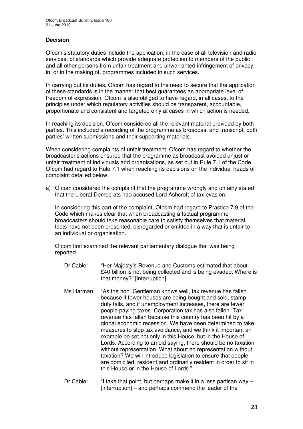#### **Decision**

Ofcom's statutory duties include the application, in the case of all television and radio services, of standards which provide adequate protection to members of the public and all other persons from unfair treatment and unwarranted infringement of privacy in, or in the making of, programmes included in such services.

In carrying out its duties, Ofcom has regard to the need to secure that the application of these standards is in the manner that best guarantees an appropriate level of freedom of expression. Ofcom is also obliged to have regard, in all cases, to the principles under which regulatory activities should be transparent, accountable, proportionate and consistent and targeted only at cases in which action is needed.

In reaching its decision, Ofcom considered all the relevant material provided by both parties. This included a recording of the programme as broadcast and transcript, both parties' written submissions and their supporting materials.

When considering complaints of unfair treatment, Ofcom has regard to whether the broadcaster's actions ensured that the programme as broadcast avoided unjust or unfair treatment of individuals and organisations, as set out in Rule 7.1 of the Code. Ofcom had regard to Rule 7.1 when reaching its decisions on the individual heads of complaint detailed below.

a) Ofcom considered the complaint that the programme wrongly and unfairly stated that the Liberal Democrats had accused Lord Ashcroft of tax evasion.

In considering this part of the complaint, Ofcom had regard to Practice 7.9 of the Code which makes clear that when broadcasting a factual programme broadcasters should take reasonable care to satisfy themselves that material facts have not been presented, disregarded or omitted in a way that is unfair to an individual or organisation.

Ofcom first examined the relevant parliamentary dialogue that was being reported.

- Dr Cable: "Her Majesty's Revenue and Customs estimated that about £40 billion is not being collected and is being evaded. Where is that money?" [interruption]
- Ms Harman: "As the hon. Gentleman knows well, tax revenue has fallen because if fewer houses are being bought and sold, stamp duty falls, and if unemployment increases, there are fewer people paying taxes. Corporation tax has also fallen. Tax revenue has fallen because this country has been hit by a global economic recession. We have been determined to take measures to stop tax avoidance, and we think it important an example be set not only in this House, but in the House of Lords. According to an old saying, there should be no taxation without representation. What about no representation without taxation? We will introduce legislation to ensure that people are domiciled, resident and ordinarily resident in order to sit in this House or in the House of Lords."
- Dr Cable: "I take that point, but perhaps make it in a less partisan way -[interruption] – and perhaps commend the leader of the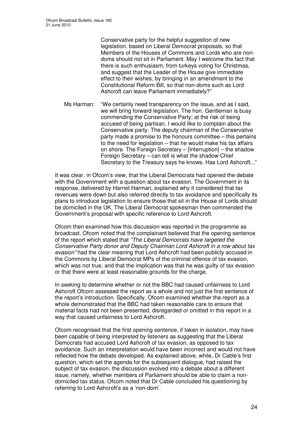Conservative party for the helpful suggestion of new legislation, based on Liberal Democrat proposals, so that Members of the Houses of Commons and Lords who are nondoms should not sit in Parliament. May I welcome the fact that there is such enthusiasm, from turkeys voting for Christmas, and suggest that the Leader of the House give immediate effect to their wishes, by bringing in an amendment to the Constitutional Reform Bill, so that non-doms such as Lord Ashcroft can leave Parliament immediately?"

Ms Harman: "We certainly need transparency on the issue, and as I said, we will bring forward legislation. The hon. Gentleman is busy commending the Conservative Party; at the risk of being accused of being partisan, I would like to complain about the Conservative party. The deputy chairman of the Conservative party made a promise to the honours committee – this pertains to the need for legislation – that he would make his tax affairs on shore. The Foreign Secretary – [Interruption] – the shadow Foreign Secretary – can tell is what the shadow Chief Secretary to the Treasury says he knows. Has Lord Ashcroft..."

It was clear, in Ofcom's view, that the Liberal Democrats had opened the debate with the Government with a question about tax evasion. The Government in its response, delivered by Harriet Harman, explained why it considered that tax revenues were down but also referred directly to tax avoidance and specifically its plans to introduce legislation to ensure those that sit in the House of Lords should be domiciled in the UK. The Liberal Democrat spokesman then commended the Government's proposal with specific reference to Lord Ashcroft.

Ofcom then examined how this discussion was reported in the programme as broadcast. Ofcom noted that the complainant believed that the opening sentence of the report which stated that *"The Liberal Democrats have targeted the Conservative Party donor and Deputy Chairman Lord Ashcroft in a row about tax evasion"* had the clear meaning that Lord Ashcroft had been publicly accused in the Commons by Liberal Democrat MPs of the criminal offence of tax evasion, which was not true, and that the implication was that he was guilty of tax evasion or that there were at least reasonable grounds for the charge.

In seeking to determine whether or not the BBC had caused unfairness to Lord Ashcroft Ofcom assessed the report as a whole and not just the first sentence of the report's introduction. Specifically, Ofcom examined whether the report as a whole demonstrated that the BBC had taken reasonable care to ensure that material facts had not been presented, disregarded or omitted in this report in a way that caused unfairness to Lord Ashcroft.

Ofcom recognised that the first opening sentence, if taken in isolation, may have been capable of being interpreted by listeners as suggesting that the Liberal Democrats had accused Lord Ashcroft of tax evasion, as opposed to tax avoidance. Such an interpretation would have been incorrect and would not have reflected how the debate developed. As explained above, while, Dr Cable's first question, which set the agenda for the subsequent dialogue, had raised the subject of tax evasion, the discussion evolved into a debate about a different issue, namely, whether members of Parliament should be able to claim a nondomiciled tax status. Ofcom noted that Dr Cable concluded his questioning by referring to Lord Ashcroft's as a 'non-dom'.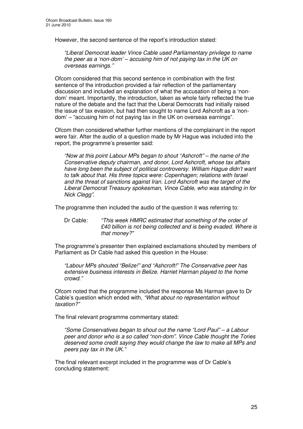However, the second sentence of the report's introduction stated:

*"Liberal Democrat leader Vince Cable used Parliamentary privilege to name the peer as a 'non-dom' – accusing him of not paying tax in the UK on overseas earnings."*

Ofcom considered that this second sentence in combination with the first sentence of the introduction provided a fair reflection of the parliamentary discussion and included an explanation of what the accusation of being a 'nondom' meant. Importantly, the introduction, taken as whole fairly reflected the true nature of the debate and the fact that the Liberal Democrats had initially raised the issue of tax evasion, but had then sought to name Lord Ashcroft as a 'nondom' – "accusing him of not paying tax in the UK on overseas earnings".

Ofcom then considered whether further mentions of the complainant in the report were fair. After the audio of a question made by Mr Hague was included into the report, the programme's presenter said:

*"Now at this point Labour MPs began to shout "Ashcroft" – the name of the Conservative deputy chairman, and donor, Lord Ashcroft, whose tax affairs have long been the subject of political controversy. William Hague didn't want to talk about that. His three topics were: Copenhagen; relations with Israel and the threat of sanctions against Iran. Lord Ashcroft was the target of the Liberal Democrat Treasury spokesman, Vince Cable, who was standing in for Nick Clegg".*

The programme then included the audio of the question it was referring to:

Dr Cable: *"This week HMRC estimated that something of the order of £40 billion is not being collected and is being evaded. Where is that money?"*

The programme's presenter then explained exclamations shouted by members of Parliament as Dr Cable had asked this question in the House:

*"Labour MPs shouted "Belize!" and "Ashcroft!" The Conservative peer has extensive business interests in Belize. Harriet Harman played to the home crowd."*

Ofcom noted that the programme included the response Ms Harman gave to Dr Cable's question which ended with, *"What about no representation without taxation?"*

The final relevant programme commentary stated:

*"Some Conservatives began to shout out the name "Lord Paul" – a Labour peer and donor who is a so called "non-dom". Vince Cable thought the Tories deserved some credit saying they would change the law to make all MPs and peers pay tax in the UK."*

The final relevant excerpt included in the programme was of Dr Cable's concluding statement: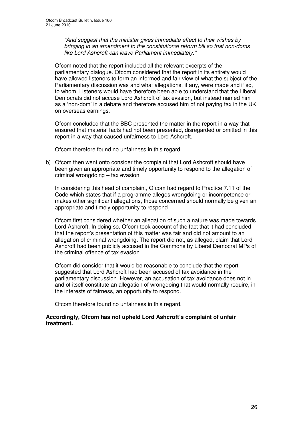*"And suggest that the minister gives immediate effect to their wishes by bringing in an amendment to the constitutional reform bill so that non-doms like Lord Ashcroft can leave Parliament immediately."*

Ofcom noted that the report included all the relevant excerpts of the parliamentary dialogue. Ofcom considered that the report in its entirety would have allowed listeners to form an informed and fair view of what the subject of the Parliamentary discussion was and what allegations, if any, were made and if so, to whom. Listeners would have therefore been able to understand that the Liberal Democrats did not accuse Lord Ashcroft of tax evasion, but instead named him as a 'non-dom' in a debate and therefore accused him of not paying tax in the UK on overseas earnings.

Ofcom concluded that the BBC presented the matter in the report in a way that ensured that material facts had not been presented, disregarded or omitted in this report in a way that caused unfairness to Lord Ashcroft.

Ofcom therefore found no unfairness in this regard.

b) Ofcom then went onto consider the complaint that Lord Ashcroft should have been given an appropriate and timely opportunity to respond to the allegation of criminal wrongdoing – tax evasion.

In considering this head of complaint, Ofcom had regard to Practice 7.11 of the Code which states that if a programme alleges wrongdoing or incompetence or makes other significant allegations, those concerned should normally be given an appropriate and timely opportunity to respond.

Ofcom first considered whether an allegation of such a nature was made towards Lord Ashcroft. In doing so, Ofcom took account of the fact that it had concluded that the report's presentation of this matter was fair and did not amount to an allegation of criminal wrongdoing. The report did not, as alleged, claim that Lord Ashcroft had been publicly accused in the Commons by Liberal Democrat MPs of the criminal offence of tax evasion.

Ofcom did consider that it would be reasonable to conclude that the report suggested that Lord Ashcroft had been accused of tax avoidance in the parliamentary discussion. However, an accusation of tax avoidance does not in and of itself constitute an allegation of wrongdoing that would normally require, in the interests of fairness, an opportunity to respond.

Ofcom therefore found no unfairness in this regard.

#### **Accordingly, Ofcom has not upheld Lord Ashcroft's complaint of unfair treatment.**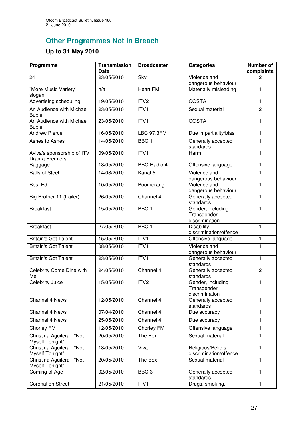# **Other Programmes Not in Breach**

## **Up to 31 May 2010**

| Programme                                           | <b>Transmission</b><br>Date | <b>Broadcaster</b> | <b>Categories</b>                                  | <b>Number of</b><br>complaints |
|-----------------------------------------------------|-----------------------------|--------------------|----------------------------------------------------|--------------------------------|
| 24                                                  | 23/05/2010                  | Sky1               | Violence and<br>dangerous behaviour                | 2                              |
| "More Music Variety"<br>slogan                      | n/a                         | <b>Heart FM</b>    | Materially misleading                              | 1                              |
| <b>Advertising scheduling</b>                       | 19/05/2010                  | ITV <sub>2</sub>   | <b>COSTA</b>                                       | $\mathbf{1}$                   |
| An Audience with Michael<br><b>Bublé</b>            | 23/05/2010                  | ITV1               | Sexual material                                    | $\overline{2}$                 |
| An Audience with Michael<br><b>Bublé</b>            | 23/05/2010                  | ITVI               | <b>COSTA</b>                                       | $\mathbf{1}$                   |
| <b>Andrew Pierce</b>                                | 16/05/2010                  | <b>LBC 97.3FM</b>  | Due impartiality/bias                              | $\mathbf{1}$                   |
| Ashes to Ashes                                      | 14/05/2010                  | BBC <sub>1</sub>   | Generally accepted<br>standards                    | 1                              |
| Aviva's sponsorship of ITV<br><b>Drama Premiers</b> | 09/05/2010                  | ITV1               | Harm                                               | $\mathbf{1}$                   |
| Baggage                                             | 18/05/2010                  | <b>BBC Radio 4</b> | Offensive language                                 | $\mathbf{1}$                   |
| <b>Balls of Steel</b>                               | 14/03/2010                  | Kanal 5            | Violence and<br>dangerous behaviour                | $\mathbf{1}$                   |
| <b>Best Ed</b>                                      | 10/05/2010                  | Boomerang          | Violence and<br>dangerous behaviour                | $\overline{1}$                 |
| Big Brother 11 (trailer)                            | 26/05/2010                  | Channel 4          | Generally accepted<br>standards                    | 1                              |
| <b>Breakfast</b>                                    | 15/05/2010                  | BBC <sub>1</sub>   | Gender, including<br>Transgender<br>discrimination | 1                              |
| <b>Breakfast</b>                                    | 27/05/2010                  | BBC <sub>1</sub>   | <b>Disability</b><br>discrimination/offence        | $\mathbf{1}$                   |
| <b>Britain's Got Talent</b>                         | 15/05/2010                  | ITV1               | Offensive language                                 | $\mathbf{1}$                   |
| <b>Britain's Got Talent</b>                         | 08/05/2010                  | ITV1               | Violence and<br>dangerous behaviour                | $\mathbf{1}$                   |
| <b>Britain's Got Talent</b>                         | 23/05/2010                  | ITVI               | Generally accepted<br>standards                    | $\mathbf{1}$                   |
| Celebrity Come Dine with<br>Me                      | 24/05/2010                  | Channel 4          | Generally accepted<br>standards                    | $\overline{2}$                 |
| Celebrity Juice                                     | 15/05/2010                  | ITV <sub>2</sub>   | Gender, including<br>Transgender<br>discrimination | 1                              |
| Channel 4 News                                      | 12/05/2010                  | Channel 4          | Generally accepted<br>standards                    | 1                              |
| Channel 4 News                                      | 07/04/2010                  | Channel 4          | Due accuracy                                       | 1                              |
| <b>Channel 4 News</b>                               | 25/05/2010                  | Channel 4          | Due accuracy                                       | 1                              |
| Chorley FM                                          | 12/05/2010                  | Chorley FM         | Offensive language                                 | 1                              |
| Christina Aguilera - "Not<br><b>Myself Tonight"</b> | 20/05/2010                  | The Box            | Sexual material                                    | 1                              |
| Christina Aguilera - "Not<br><b>Myself Tonight"</b> | 18/05/2010                  | Viva               | Religious/Beliefs<br>discrimination/offence        | 1                              |
| Christina Aguilera - "Not<br><b>Myself Tonight"</b> | 20/05/2010                  | The Box            | Sexual material                                    | 1                              |
| Coming of Age                                       | 02/05/2010                  | BBC <sub>3</sub>   | Generally accepted<br>standards                    | $\mathbf{1}$                   |
| <b>Coronation Street</b>                            | 21/05/2010                  | ITV1               | Drugs, smoking,                                    | 1                              |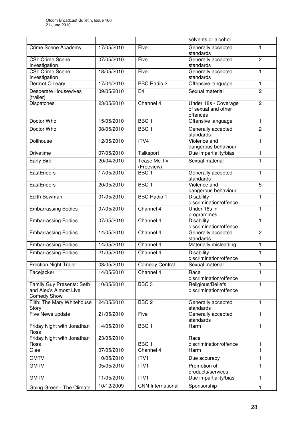|                                                                           |            |                                  | solvents or alcohol                                     |                |
|---------------------------------------------------------------------------|------------|----------------------------------|---------------------------------------------------------|----------------|
| Crime Scene Academy                                                       | 17/05/2010 | Five                             | Generally accepted<br>standards                         | 1              |
| CSI: Crime Scene<br>Investigation                                         | 07/05/2010 | Five                             | Generally accepted<br>standards                         | $\overline{2}$ |
| <b>CSI: Crime Scene</b><br>Investigation                                  | 18/05/2010 | Five                             | Generally accepted<br>standards                         | 1              |
| Dermot O'Leary                                                            | 17/04/2010 | <b>BBC Radio 2</b>               | Offensive language                                      | 1              |
| <b>Desperate Housewives</b><br>(trailer)                                  | 09/05/2010 | E <sub>4</sub>                   | Sexual material                                         | 2              |
| Dispatches                                                                | 23/05/2010 | Channel 4                        | Under 18s - Coverage<br>of sexual and other<br>offences | $\overline{2}$ |
| Doctor Who                                                                | 15/05/2010 | BBC <sub>1</sub>                 | Offensive language                                      | 1              |
| Doctor Who                                                                | 08/05/2010 | BBC <sub>1</sub>                 | Generally accepted<br>standards                         | $\overline{2}$ |
| Dollhouse                                                                 | 12/05/2010 | ITV4                             | Violence and<br>dangerous behaviour                     | 1              |
| <b>Drivetime</b>                                                          | 07/05/2010 | Talksport                        | Due impartiality/bias                                   | $\mathbf{1}$   |
| Early Bird                                                                | 20/04/2010 | <b>Tease Me TV</b><br>(Freeview) | Sexual material                                         | 1              |
| <b>EastEnders</b>                                                         | 17/05/2010 | BBC <sub>1</sub>                 | Generally accepted<br>standards                         | 1              |
| EastEnders                                                                | 20/05/2010 | BBC <sub>1</sub>                 | Violence and<br>dangerous behaviour                     | 5              |
| Edith Bowman                                                              | 01/05/2010 | <b>BBC Radio 1</b>               | Disability<br>discrimination/offence                    | 1              |
| <b>Embarrassing Bodies</b>                                                | 07/05/2010 | Channel 4                        | Under 18s in<br>programmes                              | 1              |
| <b>Embarrassing Bodies</b>                                                | 07/05/2010 | Channel 4                        | <b>Disability</b><br>discrimination/offence             | 1              |
| <b>Embarrassing Bodies</b>                                                | 14/05/2010 | Channel 4                        | Generally accepted<br>standards                         | $\overline{c}$ |
| <b>Embarrassing Bodies</b>                                                | 14/05/2010 | Channel 4                        | Materially misleading                                   | $\mathbf{1}$   |
| <b>Embarrassing Bodies</b>                                                | 21/05/2010 | Channel 4                        | <b>Disability</b><br>discrimination/offence             | 1              |
| <b>Erection Night Trailer</b>                                             | 03/05/2010 | <b>Comedy Central</b>            | Sexual material                                         | 1              |
| Facejacker                                                                | 14/05/2010 | Channel 4                        | Race<br>discrimination/offence                          |                |
| Family Guy Presents: Seth<br>and Alex's Almost Live<br><b>Comedy Show</b> | 10/05/2010 | $BBC$ 3                          | Religious/Beliefs<br>discrimination/offence             | 1              |
| Filth: The Mary Whitehouse<br>Story                                       | 24/05/2010 | BBC <sub>2</sub>                 | Generally accepted<br>standards                         | 1              |
| Five News update                                                          | 21/05/2010 | Five                             | Generally accepted<br>standards                         | 1              |
| Friday Night with Jonathan<br>Ross                                        | 14/05/2010 | BBC <sub>1</sub>                 | Harm                                                    | 1              |
| Friday Night with Jonathan<br>Ross                                        | 23/05/2010 | BBC <sub>1</sub>                 | Race<br>discrimination/offence                          | 1              |
| Glee                                                                      | 07/05/2010 | Channel 4                        | Harm                                                    | 1              |
| <b>GMTV</b>                                                               | 10/05/2010 | ITV1                             | Due accuracy                                            | 1              |
| <b>GMTV</b>                                                               | 05/05/2010 | ITVI                             | Promotion of<br>products/services                       | 1              |
| <b>GMTV</b>                                                               | 11/05/2010 | ITV <sub>1</sub>                 | Due impartiality/bias                                   | 1              |
| Going Green - The Climate                                                 | 10/12/2009 | <b>CNN</b> International         | Sponsorship                                             | 1              |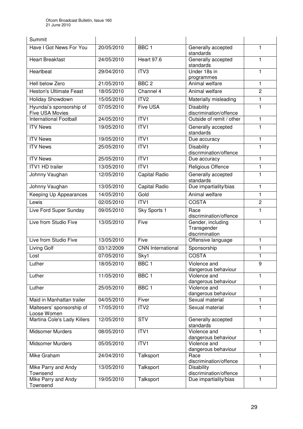| Summit                                      |            |                          |                                                    |                |
|---------------------------------------------|------------|--------------------------|----------------------------------------------------|----------------|
| Have I Got News For You                     | 20/05/2010 | BBC <sub>1</sub>         | Generally accepted<br>standards                    | 1              |
| <b>Heart Breakfast</b>                      | 24/05/2010 | Heart 97.6               | Generally accepted<br>standards                    | 1              |
| Heartbeat                                   | 29/04/2010 | ITV3                     | Under 18s in<br>programmes                         | 1              |
| <b>Hell below Zero</b>                      | 21/05/2010 | BBC <sub>2</sub>         | Animal welfare                                     | 1              |
| <b>Heston's Ultimate Feast</b>              | 18/05/2010 | Channel 4                | Animal welfare                                     | $\overline{c}$ |
| Holiday Showdown                            | 15/05/2010 | ITV2                     | Materially misleading                              | 1              |
| Hyundai's sponsorship of<br>Five USA Movies | 07/05/2010 | <b>Five USA</b>          | <b>Disability</b><br>discrimination/offence        | 1              |
| <b>International Football</b>               | 24/05/2010 | ITVI                     | Outside of remit / other                           | 1              |
| <b>ITV News</b>                             | 19/05/2010 | ITV <sub>1</sub>         | Generally accepted<br>standards                    | 1              |
| <b>ITV News</b>                             | 19/05/2010 | ITVI                     | Due accuracy                                       | 1              |
| <b>ITV News</b>                             | 25/05/2010 | ITV1                     | <b>Disability</b><br>discrimination/offence        | 1              |
| <b>ITV News</b>                             | 25/05/2010 | ITVI                     | Due accuracy                                       | 1              |
| <b>ITV1 HD trailer</b>                      | 13/05/2010 | ITVI                     | Religious Offence                                  | 1              |
| Johnny Vaughan                              | 12/05/2010 | Capital Radio            | Generally accepted<br>standards                    | 1              |
| Johnny Vaughan                              | 13/05/2010 | Capital Radio            | Due impartiality/bias                              | 1              |
| Keeping Up Appearances                      | 14/05/2010 | Gold                     | Animal welfare                                     | 1              |
| Lewis                                       | 02/05/2010 | ITVI                     | <b>COSTA</b>                                       | $\overline{2}$ |
| Live Ford Super Sunday                      | 09/05/2010 | Sky Sports 1             | Race<br>discrimination/offence                     | 1              |
| Live from Studio Five                       | 13/05/2010 | Five                     | Gender, including<br>Transgender<br>discrimination | 1              |
| Live from Studio Five                       | 13/05/2010 | Five                     | Offensive language                                 | 1              |
| Living Golf                                 | 03/12/2009 | <b>CNN</b> International | Sponsorship                                        | 1              |
| Lost                                        | 07/05/2010 | Sky1                     | <b>COSTA</b>                                       | 1              |
| Luther                                      | 18/05/2010 | BBC <sub>1</sub>         | Violence and<br>dangerous behaviour                | q              |
| Luther                                      | 11/05/2010 | BBC <sub>1</sub>         | Violence and<br>dangerous behaviour                | 1              |
| Luther                                      | 25/05/2010 | BBC1                     | Violence and<br>dangerous behaviour                | 1              |
| Maid in Manhattan trailer                   | 04/05/2010 | Fiver                    | Sexual material                                    | 1              |
| Maltesers' sponsorship of<br>Loose Women    | 17/05/2010 | ITV <sub>2</sub>         | Sexual material                                    | 1              |
| Martina Cole's Lady Killers                 | 12/05/2010 | <b>STV</b>               | Generally accepted<br>standards                    | 1              |
| <b>Midsomer Murders</b>                     | 08/05/2010 | ITVI                     | Violence and<br>dangerous behaviour                | 1              |
| Midsomer Murders                            | 05/05/2010 | ITV1                     | Violence and<br>dangerous behaviour                | 1              |
| Mike Graham                                 | 24/04/2010 | Talksport                | Race<br>discrimination/offence                     | 1              |
| Mike Parry and Andy<br>Townsend             | 13/05/2010 | Talksport                | <b>Disability</b><br>discrimination/offence        | 1              |
| Mike Parry and Andy<br>Townsend             | 19/05/2010 | Talksport                | Due impartiality/bias                              | 1              |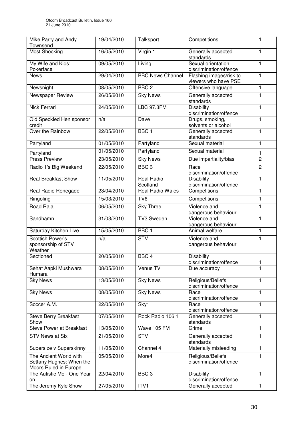| Mike Parry and Andy<br>Townsend                                             | 19/04/2010 | Talksport                           | Competitions                                    | 1              |
|-----------------------------------------------------------------------------|------------|-------------------------------------|-------------------------------------------------|----------------|
| <b>Most Shocking</b>                                                        | 16/05/2010 | Virgin 1                            | Generally accepted<br>standards                 | 1              |
| My Wife and Kids:<br>Pokerface                                              | 09/05/2010 | Living                              | Sexual orientation<br>discrimination/offence    | 1              |
| <b>News</b>                                                                 | 29/04/2010 | <b>BBC News Channel</b>             | Flashing images/risk to<br>viewers who have PSE | 1              |
| Newsnight                                                                   | 08/05/2010 | BBC <sub>2</sub>                    | Offensive language                              | 1              |
| Newspaper Review                                                            | 26/05/2010 | <b>Sky News</b>                     | Generally accepted<br>standards                 | 1              |
| <b>Nick Ferrari</b>                                                         | 24/05/2010 | <b>LBC 97.3FM</b>                   | <b>Disability</b><br>discrimination/offence     | 1              |
| Old Speckled Hen sponsor<br>credit                                          | n/a        | Dave                                | Drugs, smoking,<br>solvents or alcohol          | 1              |
| Over the Rainbow                                                            | 22/05/2010 | BBC <sub>1</sub>                    | Generally accepted<br>standards                 | 1              |
| Partyland                                                                   | 01/05/2010 | Partyland                           | Sexual material                                 | 1              |
| Partyland                                                                   | 01/05/2010 | Partyland                           | Sexual material                                 | 1              |
| <b>Press Preview</b>                                                        | 23/05/2010 | <b>Sky News</b>                     | Due impartiality/bias                           | $\overline{2}$ |
| Radio 1's Big Weekend                                                       | 22/05/2010 | BBC <sub>3</sub>                    | Race<br>discrimination/offence                  | $\overline{2}$ |
| <b>Real Breakfast Show</b>                                                  | 11/05/2010 | <b>Real Radio</b>                   | <b>Disability</b>                               | 1              |
| Real Radio Renegade                                                         | 23/04/2010 | Scotland<br><b>Real Radio Wales</b> | discrimination/offence<br>Competitions          | 1              |
| Ringoling                                                                   | 15/03/2010 | TV <sub>6</sub>                     | Competitions                                    | 1              |
|                                                                             |            |                                     |                                                 |                |
| Road Raja                                                                   | 06/05/2010 | <b>Sky Three</b>                    | Violence and<br>dangerous behaviour             | 1              |
| Sandhamn                                                                    | 31/03/2010 | <b>TV3 Sweden</b>                   | Violence and<br>dangerous behaviour             | 1              |
| Saturday Kitchen Live                                                       | 15/05/2010 | BBC <sub>1</sub>                    | Animal welfare                                  | 1              |
| Scottish Power's<br>sponsorship of STV<br>Weather                           | n/a        | $\overline{\text{STV}}$             | Violence and<br>dangerous behaviour             | 1              |
| Sectioned                                                                   | 20/05/2010 | BBC <sub>4</sub>                    | <b>Disability</b><br>discrimination/offence     | 1              |
| Sehat Aapki Mushwara<br>Humara                                              | 08/05/2010 | Venus TV                            | Due accuracy                                    | 1              |
| <b>Sky News</b>                                                             | 13/05/2010 | <b>Sky News</b>                     | Religious/Beliefs<br>discrimination/offence     | 1              |
| <b>Sky News</b>                                                             | 08/05/2010 | <b>Sky News</b>                     | Race<br>discrimination/offence                  | 1              |
| Soccer A.M.                                                                 | 22/05/2010 | Sky1                                | Race<br>discrimination/offence                  | 1              |
| <b>Steve Berry Breakfast</b><br>Show                                        | 07/05/2010 | Rock Radio 106.1                    | Generally accepted<br>standards                 | 1              |
| <b>Steve Power at Breakfast</b>                                             | 13/05/2010 | Wave 105 FM                         | Crime                                           | 1              |
| <b>STV News at Six</b>                                                      | 21/05/2010 | <b>STV</b>                          | Generally accepted<br>standards                 | 1              |
| Supersize v Superskinny                                                     | 11/05/2010 | Channel 4                           | Materially misleading                           | 1              |
| The Ancient World with<br>Bettany Hughes: When the<br>Moors Ruled in Europe | 05/05/2010 | More4                               | Religious/Beliefs<br>discrimination/offence     | 1              |
| The Autistic Me - One Year                                                  | 22/04/2010 | BBC <sub>3</sub>                    | <b>Disability</b>                               | 1              |
| on<br>The Jeremy Kyle Show                                                  | 27/05/2010 | ITV1                                | discrimination/offence<br>Generally accepted    | 1              |
|                                                                             |            |                                     |                                                 |                |